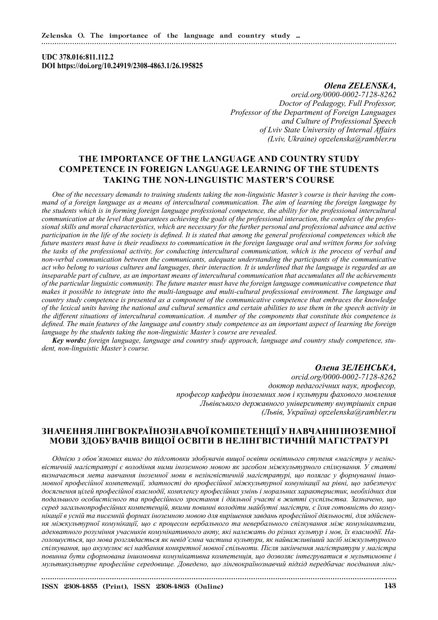### **UDC 378.016:811.112.2 DOI https://doi.org/10.24919/2308-4863.1/26.195825**

## *Olena ZELENSKA, orcid.org/0000-0002-7128-8262 Doctor of Pedagogy, Full Professor, Professor of the Department of Foreign Languages and Culture of Professional Speech of Lviv State University of Internal Affairs (Lviv, Ukraine) opzelenska@rambler.ru*

# **THE IMPORTANCE OF THE LANGUAGE AND COUNTRY STUDY COMPETENCE IN FOREIGN LANGUAGE LEARNING OF THE STUDENTS TAKING THE NON-LINGUISTIC MASTER'S COURSE**

*One of the necessary demands to training students taking the non-linguistic Master's course is their having the command of a foreign language as a means of intercultural communication. The aim of learning the foreign language by the students which is in forming foreign language professional competence, the ability for the professional intercultural communication at the level that guarantees achieving the goals of the professional interaction, the complex of the professional skills and moral characteristics, which are necessary for the further personal and professional advance and active participation in the life of the society is defined. It is stated that among the general professional competences which the future masters must have is their readiness to communication in the foreign language oral and written forms for solving the tasks of the professional activity, for conducting intercultural communication, which is the process of verbal and non-verbal communication between the communicants, adequate understanding the participants of the communicative act who belong to various cultures and languages, their interaction. It is underlined that the language is regarded as an inseparable part of culture, as an important means of intercultural communication that accumulates all the achievements of the particular linguistic community. The future master must have the foreign language communicative competence that makes it possible to integrate into the multi-language and multi-cultural professional environment. The language and country study competence is presented as a component of the communicative competence that embraces the knowledge of the lexical units having the national and cultural semantics and certain abilities to use them in the speech activity in the different situations of intercultural communication. A number of the components that constitute this competence is defined. The main features of the language and country study competence as an important aspect of learning the foreign language by the students taking the non-linguistic Master's course are revealed.*

*Key words: foreign language, language and country study approach, language and country study competence, student, non-linguistic Master's course.*

## *Олена ЗЕЛЕНСЬКА,*

*orcid.org/0000-0002-7128-8262 доктор педагогічних наук, професор, професор кафедри іноземних мов і культури фахового мовлення Львівського державного університету внутрішніх справ (Львів, Україна) opzelenska@rambler.ru*

# **ЗНАЧЕННЯ ЛІНГВОКРАЇНОЗНАВЧОЇ КОМПЕТЕНЦІЇ У НАВЧАННІ ІНОЗЕМНОЇ МОВИ ЗДОБУВАЧІВ ВИЩОЇ ОСВІТИ В НЕЛІНГВІСТИЧНІЙ МАГІСТРАТУРІ**

*Однією з обов'язкових вимог до підготовки здобувачів вищої освіти освітнього ступеня «магістр» у нелінгвістичній магістратурі є володіння ними іноземною мовою як засобом міжкультурного спілкування. У статті визначається мета навчання іноземної мови в нелінгвістичній магістратурі, що полягає у формуванні іншомовної професійної компетенції, здатності до професійної міжкультурної комунікації на рівні, що забезпечує досягнення цілей професійної взаємодії, комплексу професійних умінь і моральних характеристик, необхідних для подальшого особистісного та професійного зростання і діяльної участі в житті суспільства. Зазначено, що серед загальнопрофесійних компетенцій, якими повинні володіти майбутні магістри, є їхня готовність до комунікації в усній та писемній формах іноземною мовою для вирішення завдань професійної діяльності, для здійснення міжкультурної комунікації, що є процесом вербального та невербального спілкування між комунікантами, адекватного розуміння учасників комунікативного акту, які належать до різних культур і мов, їх взаємодії. Наголошується, що мова розглядається як невід'ємна частина культури, як найважливіший засіб міжкультурного спілкування, що акумулює всі надбання конкретної мовної спільноти. Після закінчення магістратури у магістра повинна бути сформована іншомовна комунікативна компетенція, що дозволяє інтегруватися в мультимовне і мультикультурне професійне середовище. Доведено, що лінгвокраїнознавчий підхід передбачає поєднання лінг-*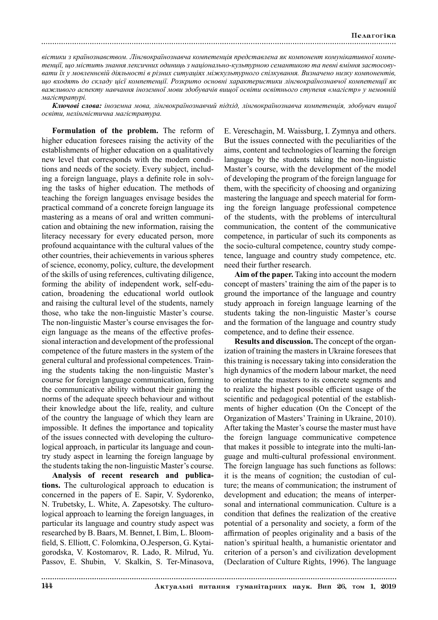*вістики з країнознавством. Лінгвокраїнознавча компетенція представлена як компонент комунікативної компетенції, що містить знання лексичних одиниць з національно-культурною семантикою та певні вміння застосовувати їх у мовленнєвій діяльності в різних ситуаціях міжкультурного спілкування. Визначено низку компонентів, що входять до складу цієї компетенції. Розкрито основні характеристики лінгвокраїнознавчої компетенції як важливого аспекту навчання іноземної мови здобувачів вищої освіти освітнього ступеня «магістр» у немовній магістратурі.*

*Ключові слова: іноземна мова, лінгвокраїнознавчий підхід, лінгвокраїнознавча компетенція, здобувач вищої освіти, нелінгвістична магістратура.*

**Formulation of the problem.** The reform of higher education foresees raising the activity of the establishments of higher education on a qualitatively new level that corresponds with the modern conditions and needs of the society. Every subject, including a foreign language, plays a definite role in solving the tasks of higher education. The methods of teaching the foreign languages envisage besides the practical command of a concrete foreign language its mastering as a means of oral and written communication and obtaining the new information, raising the literacy necessary for every educated person, more profound acquaintance with the cultural values of the other countries, their achievements in various spheres of science, economy, policy, culture, the development of the skills of using references, cultivating diligence, forming the ability of independent work, self-education, broadening the educational world outlook and raising the cultural level of the students, namely those, who take the non-linguistic Master's course. The non-linguistic Master's course envisages the foreign language as the means of the effective professional interaction and development of the professional competence of the future masters in the system of the general cultural and professional competences. Training the students taking the non-linguistic Master's course for foreign language communication, forming the communicative ability without their gaining the norms of the adequate speech behaviour and without their knowledge about the life, reality, and culture of the country the language of which they learn are impossible. It defines the importance and topicality of the issues connected with developing the culturological approach, in particular its language and country study aspect in learning the foreign language by the students taking the non-linguistic Master's course.

**Analysis of recent research and publications.** The culturological approach to education is concerned in the papers of E. Sapir, V. Sydorenko, N. Trubetsky, L. White, A. Zapesotsky. The culturological approach to learning the foreign languages, in particular its language and country study aspect was researched by B. Baars, M. Bennet, I. Bim, L. Bloomfield, S. Elliott, C. Folomkina, O.Jesperson, G. Kytaigorodska, V. Kostomarov, R. Lado, R. Milrud, Yu. Passov, E. Shubin, V. Skalkin, S. Ter-Minasova,

E. Vereschagin, M. Waissburg, I. Zymnya and others. But the issues connected with the peculiarities of the aims, content and technologies of learning the foreign language by the students taking the non-linguistic Master's course, with the development of the model of developing the program of the foreign language for them, with the specificity of choosing and organizing mastering the language and speech material for forming the foreign language professional competence of the students, with the problems of intercultural communication, the content of the communicative competence, in particular of such its components as the socio-cultural competence, country study competence, language and country study competence, etc. need their further research.

**Aim of the paper.** Taking into account the modern concept of masters' training the aim of the paper is to ground the importance of the language and country study approach in foreign language learning of the students taking the non-linguistic Master's course and the formation of the language and country study competence, and to define their essence.

**Results and discussion.** The concept of the organization of training the masters in Ukraine foresees that this training is necessary taking into consideration the high dynamics of the modern labour market, the need to orientate the masters to its concrete segments and to realize the highest possible efficient usage of the scientific and pedagogical potential of the establishments of higher education (On the Concept of the Organization of Masters' Training in Ukraine, 2010). After taking the Master's course the master must have the foreign language communicative competence that makes it possible to integrate into the multi-language and multi-cultural professional environment. The foreign language has such functions as follows: it is the means of cognition; the custodian of culture; the means of communication; the instrument of development and education; the means of interpersonal and international communication. Culture is a condition that defines the realization of the creative potential of a personality and society, a form of the affirmation of peoples originality and a basis of the nation's spiritual health, a humanistic orientator and criterion of a person's and civilization development (Declaration of Culture Rights, 1996). The language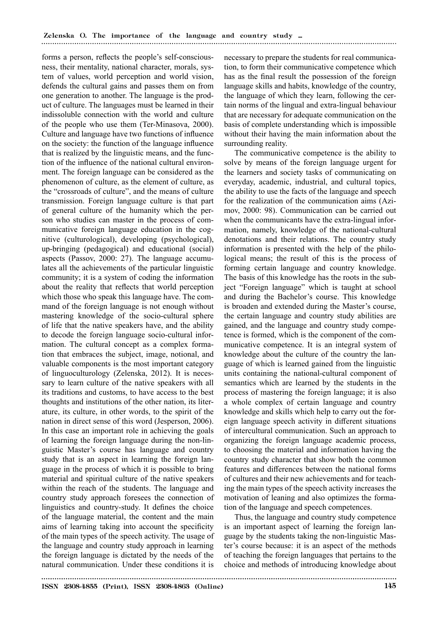forms a person, reflects the people's self-consciousness, their mentality, national character, morals, system of values, world perception and world vision, defends the cultural gains and passes them on from one generation to another. The language is the product of culture. The languages must be learned in their indissoluble connection with the world and culture of the people who use them (Ter-Minasova, 2000). Culture and language have two functions of influence on the society: the function of the language influence that is realized by the linguistic means, and the function of the influence of the national cultural environment. The foreign language can be considered as the phenomenon of culture, as the element of culture, as the "crossroads of culture", and the means of culture transmission. Foreign language culture is that part of general culture of the humanity which the person who studies can master in the process of communicative foreign language education in the cognitive (culturological), developing (psychological), up-bringing (pedagogical) and educational (social) aspects (Passov, 2000: 27). The language accumulates all the achievements of the particular linguistic community; it is a system of coding the information about the reality that reflects that world perception which those who speak this language have. The command of the foreign language is not enough without mastering knowledge of the socio-cultural sphere of life that the native speakers have, and the ability to decode the foreign language socio-cultural information. The cultural concept as a complex formation that embraces the subject, image, notional, and valuable components is the most important category of linguoculturology (Zelenska, 2012). It is necessary to learn culture of the native speakers with all its traditions and customs, to have access to the best thoughts and institutions of the other nation, its literature, its culture, in other words, to the spirit of the nation in direct sense of this word (Jesperson, 2006). In this case an important role in achieving the goals of learning the foreign language during the non-linguistic Master's course has language and country study that is an aspect in learning the foreign language in the process of which it is possible to bring material and spiritual culture of the native speakers within the reach of the students. The language and country study approach foresees the connection of linguistics and country-study. It defines the choice of the language material, the content and the main aims of learning taking into account the specificity of the main types of the speech activity. The usage of the language and country study approach in learning the foreign language is dictated by the needs of the natural communication. Under these conditions it is

necessary to prepare the students for real communication, to form their communicative competence which has as the final result the possession of the foreign language skills and habits, knowledge of the country, the language of which they learn, following the certain norms of the lingual and extra-lingual behaviour that are necessary for adequate communication on the basis of complete understanding which is impossible without their having the main information about the surrounding reality.

The communicative competence is the ability to solve by means of the foreign language urgent for the learners and society tasks of communicating on everyday, academic, industrial, and cultural topics, the ability to use the facts of the language and speech for the realization of the communication aims (Azimov, 2000: 98). Communication can be carried out when the communicants have the extra-lingual information, namely, knowledge of the national-cultural denotations and their relations. The country study information is presented with the help of the philological means; the result of this is the process of forming certain language and country knowledge. The basis of this knowledge has the roots in the subject "Foreign language" which is taught at school and during the Bachelor's course. This knowledge is broaden and extended during the Master's course, the certain language and country study abilities are gained, and the language and country study competence is formed, which is the component of the communicative competence. It is an integral system of knowledge about the culture of the country the language of which is learned gained from the linguistic units containing the national-cultural component of semantics which are learned by the students in the process of mastering the foreign language; it is also a whole complex of certain language and country knowledge and skills which help to carry out the foreign language speech activity in different situations of intercultural communication. Such an approach to organizing the foreign language academic process, to choosing the material and information having the country study character that show both the common features and differences between the national forms of cultures and their new achievements and for teaching the main types of the speech activity increases the motivation of leaning and also optimizes the formation of the language and speech competences.

Thus, the language and country study competence is an important aspect of learning the foreign language by the students taking the non-linguistic Master's course because: it is an aspect of the methods of teaching the foreign languages that pertains to the choice and methods of introducing knowledge about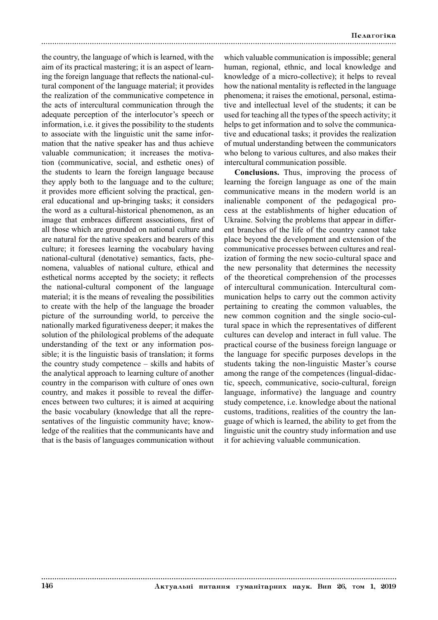the country, the language of which is learned, with the aim of its practical mastering; it is an aspect of learning the foreign language that reflects the national-cultural component of the language material; it provides the realization of the communicative competence in the acts of intercultural communication through the adequate perception of the interlocutor's speech or information, i.e. it gives the possibility to the students to associate with the linguistic unit the same information that the native speaker has and thus achieve valuable communication; it increases the motivation (communicative, social, and esthetic ones) of the students to learn the foreign language because they apply both to the language and to the culture; it provides more efficient solving the practical, general educational and up-bringing tasks; it considers the word as a cultural-historical phenomenon, as an image that embraces different associations, first of all those which are grounded on national culture and are natural for the native speakers and bearers of this culture; it foresees learning the vocabulary having national-cultural (denotative) semantics, facts, phenomena, valuables of national culture, ethical and esthetical norms accepted by the society; it reflects the national-cultural component of the language material; it is the means of revealing the possibilities to create with the help of the language the broader picture of the surrounding world, to perceive the nationally marked figurativeness deeper; it makes the solution of the philological problems of the adequate understanding of the text or any information possible; it is the linguistic basis of translation; it forms the country study competence – skills and habits of the analytical approach to learning culture of another country in the comparison with culture of ones own country, and makes it possible to reveal the differences between two cultures; it is aimed at acquiring the basic vocabulary (knowledge that all the representatives of the linguistic community have; knowledge of the realities that the communicants have and that is the basis of languages communication without

which valuable communication is impossible; general human, regional, ethnic, and local knowledge and knowledge of a micro-collective); it helps to reveal how the national mentality is reflected in the language phenomena; it raises the emotional, personal, estimative and intellectual level of the students; it can be used for teaching all the types of the speech activity; it helps to get information and to solve the communicative and educational tasks; it provides the realization of mutual understanding between the communicators who belong to various cultures, and also makes their intercultural communication possible.

**Conclusions.** Thus, improving the process of learning the foreign language as one of the main communicative means in the modern world is an inalienable component of the pedagogical process at the establishments of higher education of Ukraine. Solving the problems that appear in different branches of the life of the country cannot take place beyond the development and extension of the communicative processes between cultures and realization of forming the new socio-cultural space and the new personality that determines the necessity of the theoretical comprehension of the processes of intercultural communication. Intercultural communication helps to carry out the common activity pertaining to creating the common valuables, the new common cognition and the single socio-cultural space in which the representatives of different cultures can develop and interact in full value. The practical course of the business foreign language or the language for specific purposes develops in the students taking the non-linguistic Master's course among the range of the competences (lingual-didactic, speech, communicative, socio-cultural, foreign language, informative) the language and country study competence, i.e. knowledge about the national customs, traditions, realities of the country the language of which is learned, the ability to get from the linguistic unit the country study information and use it for achieving valuable communication.